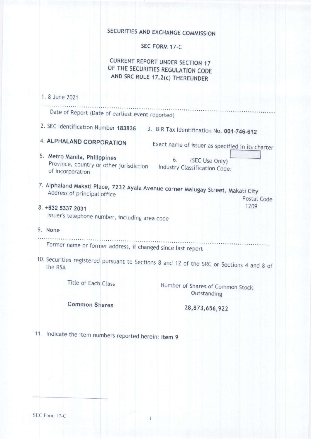# SECURITIES AND EXCHANGE COMMISSION

SEC FORM 17-C

**CURRENT REPORT UNDER SECTION 17** OF THE SECURITIES REGULATION CODE AND SRC RULE 17.2(c) THEREUNDER

# 1. 8 June 2021

| Date of Report (Date of earliest event reported)                                                               |                                                       |
|----------------------------------------------------------------------------------------------------------------|-------------------------------------------------------|
| 2. SEC Identification Number 183835                                                                            | 3. BIR Tax Identification No. 001-746-612             |
| 4. ALPHALAND CORPORATION                                                                                       | Exact name of issuer as specified in its charter      |
| 5. Metro Manila, Philippines<br>Province, country or other jurisdiction<br>of incorporation                    | 6.<br>(SEC Use Only)<br>Industry Classification Code: |
| 7. Alphaland Makati Place, 7232 Ayala Avenue corner Malugay Street, Makati City<br>Address of principal office | Postal Code                                           |
| 8. +632 5337 2031<br>Issuer's telephone number, including area code                                            | 1209                                                  |
| 9. None                                                                                                        |                                                       |
| Former name or former address, if changed since last report                                                    |                                                       |
| 10. Securities registered pursuant to Sections 8 and 12 of the SRC or Sections 4 and 8 of<br>the RSA           |                                                       |
| Title of Each Class                                                                                            | Number of Shares of Common Stock<br>Outstanding       |

**Common Shares** 

28,873,656,922

11. Indicate the item numbers reported herein: Item 9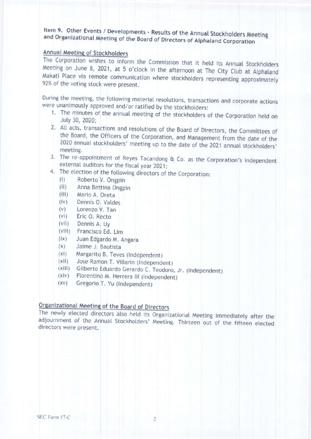Item 9. Other Events / Developments - Results of the Annual Stockholders Meeting and Organizational Meeting of the Board of Directors of Alphaland Corporation

### Annual Meeting of Stockholders

The Corporation wishes to inform the Commission that it held its Annual Stockholders Meeting on June 8, 2021, at 5 o'clock in the afternoon at The City Club at Alphaland Makati Place via remote communication where stockholders representing approximately 92% of the voting stock were present.

During the meeting, the following material resolutions, transactions and corporate actions were unanimously approved and/or ratified by the stockholders:

- 1. The minutes of the annual meeting of the stockholders of the Corporation held on July 30, 2020;
- 2. All acts, transactions and resolutions of the Board of Directors, the Committees of the Board, the Officers of the Corporation, and Management from the date of the 2020 annual stockholders' meeting up to the date of the 2021 annual stockholders' meeting.
- 3. The re-appointment of Reyes Tacandong & Co. as the Corporation's independent external auditors for the fiscal year 2021;
- 4. The election of the following directors of the Corporation:
	- Roberto V. Ongpin  $(i)$
	- $(iii)$ Anna Bettina Ongpin
	- $(iii)$ Mario A. Oreta
	- $(iv)$ Dennis O. Valdes
	- $(v)$ Lorenzo V. Tan
	- $(vi)$ Eric O. Recto
	- $(vii)$ Dennis A. Uy
	- (viii) Francisco Ed. Lim
	- $(ix)$ Juan Edgardo M. Angara
	- $(x)$ Jaime J. Bautista
	- $(xi)$ Margarito B. Teves (Independent)
	- Jose Ramon T. Villarin (Independent)  $(xii)$
	- (xiii) Gilberto Eduardo Gerardo C. Teodoro, Jr. (Independent)
	- Florentino M. Herrera III (Independent)  $(xiv)$
	- $(XV)$ Gregorio T. Yu (Independent)

# Organizational Meeting of the Board of Directors

The newly elected directors also held its Organizational Meeting immediately after the adjournment of the Annual Stockholders' Meeting. Thirteen out of the fifteen elected directors were present.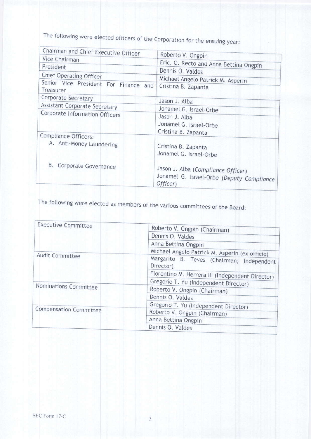The following were elected officers of the Corporation for the ensuing year:

| Chairman and Chief Executive Officer                  | Roberto V. Ongpin                                     |
|-------------------------------------------------------|-------------------------------------------------------|
| Vice Chairman                                         |                                                       |
| President                                             | Eric. O. Recto and Anna Bettina Ongpin                |
| Chief Operating Officer                               | Dennis O. Valdes                                      |
|                                                       | Michael Angelo Patrick M. Asperin                     |
| Senior Vice President For Finance<br>and<br>Treasurer | Cristina B. Zapanta                                   |
| Corporate Secretary                                   | Jason J. Alba                                         |
| Assistant Corporate Secretary                         | Jonamel G. Israel-Orbe                                |
| Corporate Information Officers                        | Jason J. Alba                                         |
|                                                       | Jonamel G. Israel-Orbe                                |
|                                                       | Cristina B. Zapanta                                   |
| Compliance Officers:                                  |                                                       |
| A. Anti-Money Laundering                              | Cristina B. Zapanta                                   |
|                                                       | Jonamel G. Israel-Orbe                                |
|                                                       |                                                       |
| B.<br>Corporate Governance                            |                                                       |
|                                                       | Jason J. Alba (Compliance Officer)                    |
|                                                       | Jonamel G. Israel-Orbe (Deputy Compliance<br>Officer) |

The following were elected as members of the various committees of the Board:

| <b>Executive Committee</b>    | Roberto V. Ongpin (Chairman)                           |
|-------------------------------|--------------------------------------------------------|
|                               | Dennis O. Valdes                                       |
|                               | Anna Bettina Ongpin                                    |
|                               | Michael Angelo Patrick M. Asperin (ex officio)         |
| Audit Committee               | Margarito B. Teves (Chairman; Independent<br>Director) |
|                               | Florentino M. Herrera III (Independent Director)       |
| Nominations Committee         | Gregorio T. Yu (Independent Director)                  |
|                               | Roberto V. Ongpin (Chairman)                           |
|                               | Dennis O. Valdes                                       |
|                               | Gregorio T. Yu (Independent Director)                  |
| <b>Compensation Committee</b> | Roberto V. Ongpin (Chairman)                           |
|                               | Anna Bettina Ongpin                                    |
|                               | Dennis O. Valdes                                       |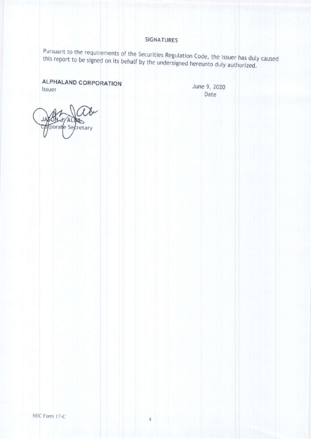## **SIGNATURES**

Pursuant to the requirements of the Securities Regulation Code, the Issuer has duly caused this report to be signed on its behalf by the undersigned hereunto duly authorized.

**ALPHALAND CORPORATION** Issuer

June 9, 2020 Date

porate Secretary